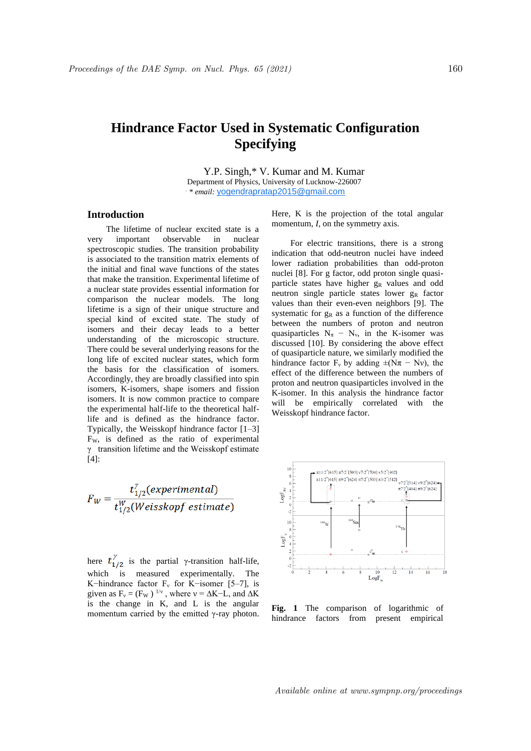## **Hindrance Factor Used in Systematic Configuration Specifying**

Y.P. Singh,\* V. Kumar and M. Kumar Department of Physics, University of Lucknow-226007 *. \* email:* yogendrapratap2015@gmail.com

## **Introduction**

The lifetime of nuclear excited state is a very important observable in nuclear spectroscopic studies. The transition probability is associated to the transition matrix elements of the initial and final wave functions of the states that make the transition. Experimental lifetime of a nuclear state provides essential information for comparison the nuclear models. The long lifetime is a sign of their unique structure and special kind of excited state. The study of isomers and their decay leads to a better understanding of the microscopic structure. There could be several underlying reasons for the long life of excited nuclear states, which form the basis for the classification of isomers. Accordingly, they are broadly classified into spin isomers, K-isomers, shape isomers and fission isomers. It is now common practice to compare the experimental half-life to the theoretical halflife and is defined as the hindrance factor. Typically, the Weisskopf hindrance factor [1–3] FW, is defined as the ratio of experimental γ transition lifetime and the Weisskopf estimate [4]:

$$
F_W = \frac{t_{1/2}^{\gamma}(experimental)}{t_{1/2}^W(Weisskopf\ estimate)}
$$

here  $t_{1/2}^{\gamma}$  is the partial γ-transition half-life, which is measured experimentally. The K–hindrance factor  $F_v$  for K–isomer [5–7], is given as  $F_v = (F_w)^{1/v}$ , where  $v = \Delta K - L$ , and  $\Delta K$ is the change in K, and L is the angular momentum carried by the emitted γ-ray photon. Here, K is the projection of the total angular momentum, *I*, on the symmetry axis.

For electric transitions, there is a strong indication that odd-neutron nuclei have indeed lower radiation probabilities than odd-proton nuclei [8]. For g factor, odd proton single quasiparticle states have higher g<sub>R</sub> values and odd neutron single particle states lower g<sub>R</sub> factor values than their even-even neighbors [9]. The systematic for  $g_R$  as a function of the difference between the numbers of proton and neutron quasiparticles  $N_{\pi} - N_{\nu}$ , in the K-isomer was discussed [10]. By considering the above effect of quasiparticle nature, we similarly modified the hindrance factor  $F_v$  by adding  $\pm (N\pi - Nv)$ , the effect of the difference between the numbers of proton and neutron quasiparticles involved in the K-isomer. In this analysis the hindrance factor will be empirically correlated with the Weisskopf hindrance factor.



**Fig. 1** The comparison of logarithmic of hindrance factors from present empirical

Available online at www.sympnp.org/proceedings